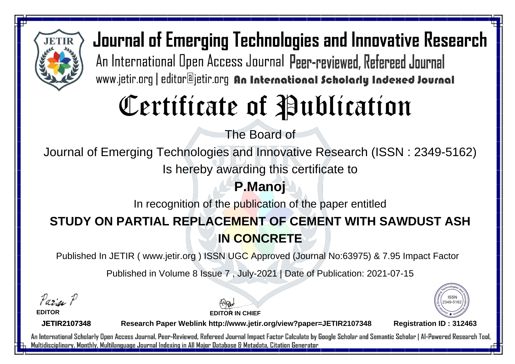

# Certificate of Publication

The Board of

Journal of Emerging Technologies and Innovative Research (ISSN : 2349-5162)

Is hereby awarding this certificate to

#### **P.Manoj**

In recognition of the publication of the paper entitled

### **STUDY ON PARTIAL REPLACEMENT OF CEMENT WITH SAWDUST ASH IN CONCRETE**

Published In JETIR ( www.jetir.org ) ISSN UGC Approved (Journal No: 63975) & 7.95 Impact Factor

Published in Volume 8 Issue 7 , July-2021 | Date of Publication: 2021-07-15

Paris P

**EDITOR**

**EDITOR IN CHIEF**



**JETIR2107348**

**Research Paper Weblink http://www.jetir.org/view?paper=JETIR2107348 Registration ID : 312463**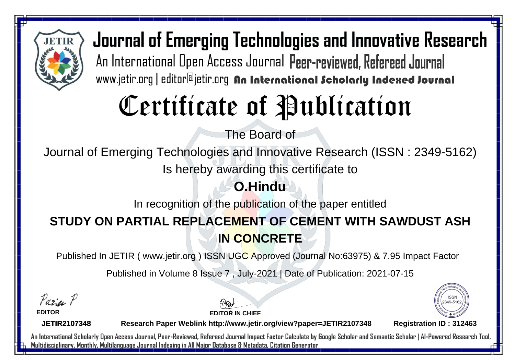

# Certificate of Publication

The Board of

Journal of Emerging Technologies and Innovative Research (ISSN : 2349-5162)

Is hereby awarding this certificate to

### **O.Hindu**

In recognition of the publication of the paper entitled

#### **STUDY ON PARTIAL REPLACEMENT OF CEMENT WITH SAWDUST ASH IN CONCRETE**

Published In JETIR ( www.jetir.org ) ISSN UGC Approved (Journal No: 63975) & 7.95 Impact Factor

Published in Volume 8 Issue 7 , July-2021 | Date of Publication: 2021-07-15

Paris P

**EDITOR**

**EDITOR IN CHIEF**



**JETIR2107348**

**Research Paper Weblink http://www.jetir.org/view?paper=JETIR2107348 Registration ID : 312463**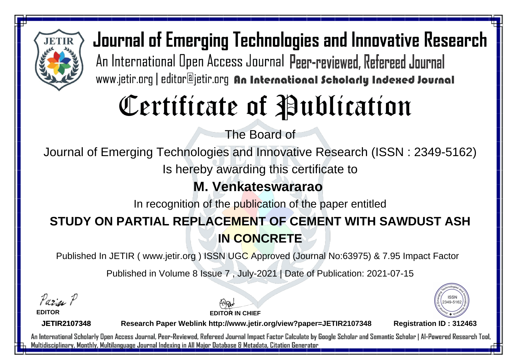

# Certificate of Publication

The Board of

Journal of Emerging Technologies and Innovative Research (ISSN : 2349-5162)

Is hereby awarding this certificate to

#### **M. Venkateswararao**

In recognition of the publication of the paper entitled

#### **STUDY ON PARTIAL REPLACEMENT OF CEMENT WITH SAWDUST ASH IN CONCRETE**

Published In JETIR ( www.jetir.org ) ISSN UGC Approved (Journal No: 63975) & 7.95 Impact Factor

Published in Volume 8 Issue 7 , July-2021 | Date of Publication: 2021-07-15

Paris P

**EDITOR**

**EDITOR IN CHIEF**



**JETIR2107348**

**Research Paper Weblink http://www.jetir.org/view?paper=JETIR2107348 Registration ID : 312463**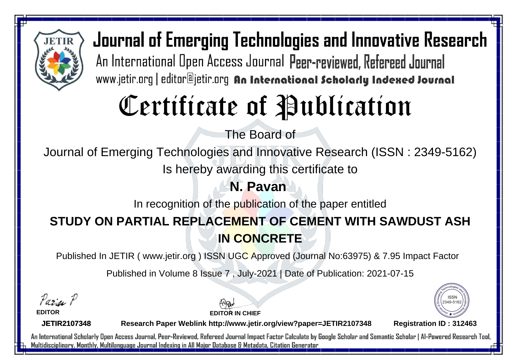

# Certificate of Publication

The Board of

Journal of Emerging Technologies and Innovative Research (ISSN : 2349-5162)

Is hereby awarding this certificate to

#### **N. Pavan**

In recognition of the publication of the paper entitled

#### **STUDY ON PARTIAL REPLACEMENT OF CEMENT WITH SAWDUST ASH IN CONCRETE**

Published In JETIR ( www.jetir.org ) ISSN UGC Approved (Journal No: 63975) & 7.95 Impact Factor

Published in Volume 8 Issue 7 , July-2021 | Date of Publication: 2021-07-15

Paris P

**EDITOR**

**EDITOR IN CHIEF**



**JETIR2107348**

**Research Paper Weblink http://www.jetir.org/view?paper=JETIR2107348 Registration ID : 312463**